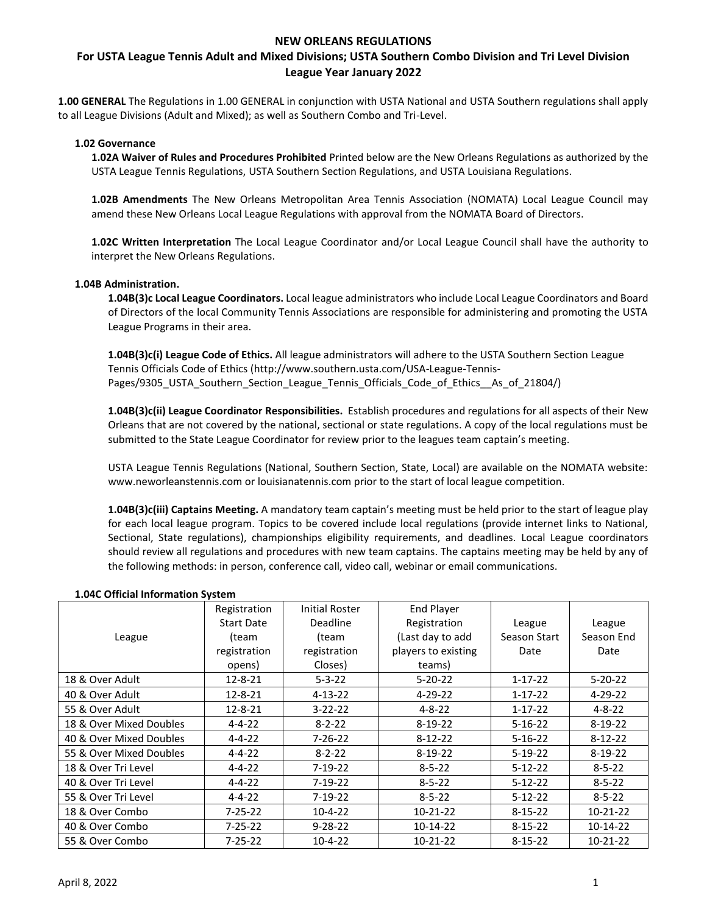# **For USTA League Tennis Adult and Mixed Divisions; USTA Southern Combo Division and Tri Level Division League Year January 2022**

**1.00 GENERAL** The Regulations in 1.00 GENERAL in conjunction with USTA National and USTA Southern regulations shall apply to all League Divisions (Adult and Mixed); as well as Southern Combo and Tri-Level.

### **1.02 Governance**

**1.02A Waiver of Rules and Procedures Prohibited** Printed below are the New Orleans Regulations as authorized by the USTA League Tennis Regulations, USTA Southern Section Regulations, and USTA Louisiana Regulations.

**1.02B Amendments** The New Orleans Metropolitan Area Tennis Association (NOMATA) Local League Council may amend these New Orleans Local League Regulations with approval from the NOMATA Board of Directors.

**1.02C Written Interpretation** The Local League Coordinator and/or Local League Council shall have the authority to interpret the New Orleans Regulations.

### **1.04B Administration.**

**1.04B(3)c Local League Coordinators.** Local league administrators who include Local League Coordinators and Board of Directors of the local Community Tennis Associations are responsible for administering and promoting the USTA League Programs in their area.

**1.04B(3)c(i) League Code of Ethics.** All league administrators will adhere to the USTA Southern Section League Tennis Officials Code of Ethics (http://www.southern.usta.com/USA-League-Tennis-Pages/9305\_USTA\_Southern\_Section\_League\_Tennis\_Officials\_Code\_of\_Ethics\_As\_of\_21804/)

**1.04B(3)c(ii) League Coordinator Responsibilities.** Establish procedures and regulations for all aspects of their New Orleans that are not covered by the national, sectional or state regulations. A copy of the local regulations must be submitted to the State League Coordinator for review prior to the leagues team captain's meeting.

USTA League Tennis Regulations (National, Southern Section, State, Local) are available on the NOMATA website: www.neworleanstennis.com or louisianatennis.com prior to the start of local league competition.

**1.04B(3)c(iii) Captains Meeting.** A mandatory team captain's meeting must be held prior to the start of league play for each local league program. Topics to be covered include local regulations (provide internet links to National, Sectional, State regulations), championships eligibility requirements, and deadlines. Local League coordinators should review all regulations and procedures with new team captains. The captains meeting may be held by any of the following methods: in person, conference call, video call, webinar or email communications.

|                         | Registration      | <b>Initial Roster</b> | <b>End Player</b>   |               |               |
|-------------------------|-------------------|-----------------------|---------------------|---------------|---------------|
|                         | <b>Start Date</b> | <b>Deadline</b>       | Registration        | League        | League        |
| League                  | (team             | (team                 | (Last day to add    | Season Start  | Season End    |
|                         | registration      | registration          | players to existing | Date          | Date          |
|                         | opens)            | Closes)               | teams)              |               |               |
| 18 & Over Adult         | $12 - 8 - 21$     | $5 - 3 - 22$          | $5 - 20 - 22$       | $1 - 17 - 22$ | $5 - 20 - 22$ |
| 40 & Over Adult         | 12-8-21           | $4 - 13 - 22$         | $4 - 29 - 22$       | $1 - 17 - 22$ | $4 - 29 - 22$ |
| 55 & Over Adult         | 12-8-21           | $3 - 22 - 22$         | $4 - 8 - 22$        | $1 - 17 - 22$ | $4 - 8 - 22$  |
| 18 & Over Mixed Doubles | $4 - 4 - 22$      | $8 - 2 - 22$          | $8-19-22$           | $5 - 16 - 22$ | $8-19-22$     |
| 40 & Over Mixed Doubles | $4 - 4 - 22$      | 7-26-22               | $8-12-22$           | $5 - 16 - 22$ | $8 - 12 - 22$ |
| 55 & Over Mixed Doubles | $4 - 4 - 22$      | $8 - 2 - 22$          | $8-19-22$           | $5-19-22$     | $8-19-22$     |
| 18 & Over Tri Level     | $4 - 4 - 22$      | $7-19-22$             | $8 - 5 - 22$        | $5 - 12 - 22$ | $8 - 5 - 22$  |
| 40 & Over Tri Level     | $4 - 4 - 22$      | 7-19-22               | $8 - 5 - 22$        | $5 - 12 - 22$ | $8 - 5 - 22$  |
| 55 & Over Tri Level     | $4 - 4 - 22$      | 7-19-22               | $8 - 5 - 22$        | $5 - 12 - 22$ | $8 - 5 - 22$  |
| 18 & Over Combo         | 7-25-22           | $10-4-22$             | 10-21-22            | $8 - 15 - 22$ | 10-21-22      |
| 40 & Over Combo         | $7 - 25 - 22$     | $9 - 28 - 22$         | 10-14-22            | $8 - 15 - 22$ | 10-14-22      |
| 55 & Over Combo         | $7 - 25 - 22$     | $10-4-22$             | 10-21-22            | $8 - 15 - 22$ | 10-21-22      |

#### **1.04C Official Information System**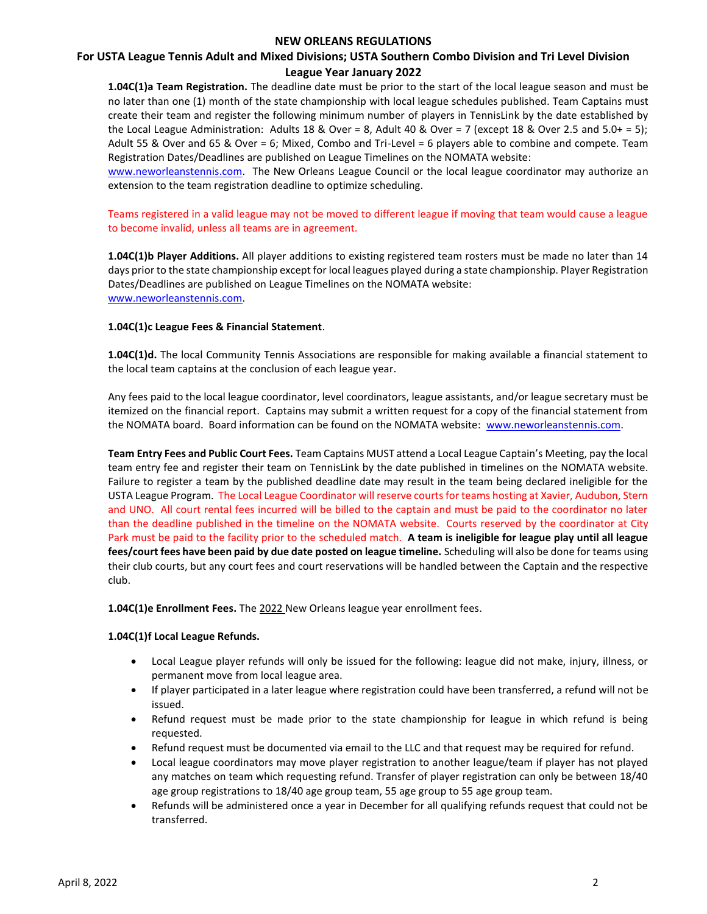# **For USTA League Tennis Adult and Mixed Divisions; USTA Southern Combo Division and Tri Level Division League Year January 2022**

**1.04C(1)a Team Registration.** The deadline date must be prior to the start of the local league season and must be no later than one (1) month of the state championship with local league schedules published. Team Captains must create their team and register the following minimum number of players in TennisLink by the date established by the Local League Administration: Adults 18 & Over = 8, Adult 40 & Over = 7 (except 18 & Over 2.5 and 5.0+ = 5); Adult 55 & Over and 65 & Over = 6; Mixed, Combo and Tri-Level = 6 players able to combine and compete. Team Registration Dates/Deadlines are published on League Timelines on the NOMATA website:

[www.neworleanstennis.com.](http://www.neworleanstennis.com/) The New Orleans League Council or the local league coordinator may authorize an extension to the team registration deadline to optimize scheduling.

Teams registered in a valid league may not be moved to different league if moving that team would cause a league to become invalid, unless all teams are in agreement.

**1.04C(1)b Player Additions.** All player additions to existing registered team rosters must be made no later than 14 days prior to the state championship except for local leagues played during a state championship. Player Registration Dates/Deadlines are published on League Timelines on the NOMATA website: [www.neworleanstennis.com.](http://www.neworleanstennis.com/)

### **1.04C(1)c League Fees & Financial Statement**.

**1.04C(1)d.** The local Community Tennis Associations are responsible for making available a financial statement to the local team captains at the conclusion of each league year.

Any fees paid to the local league coordinator, level coordinators, league assistants, and/or league secretary must be itemized on the financial report. Captains may submit a written request for a copy of the financial statement from the NOMATA board. Board information can be found on the NOMATA website: [www.neworleanstennis.com.](http://www.neworleanstennis.com/)

**Team Entry Fees and Public Court Fees.** Team Captains MUST attend a Local League Captain's Meeting, pay the local team entry fee and register their team on TennisLink by the date published in timelines on the NOMATA website. Failure to register a team by the published deadline date may result in the team being declared ineligible for the USTA League Program. The Local League Coordinator will reserve courts for teams hosting at Xavier, Audubon, Stern and UNO. All court rental fees incurred will be billed to the captain and must be paid to the coordinator no later than the deadline published in the timeline on the NOMATA website. Courts reserved by the coordinator at City Park must be paid to the facility prior to the scheduled match. **A team is ineligible for league play until all league fees/court fees have been paid by due date posted on league timeline.** Scheduling will also be done for teams using their club courts, but any court fees and court reservations will be handled between the Captain and the respective club.

**1.04C(1)e Enrollment Fees.** The 2022 New Orleans league year enrollment fees.

### **1.04C(1)f Local League Refunds.**

- Local League player refunds will only be issued for the following: league did not make, injury, illness, or permanent move from local league area.
- If player participated in a later league where registration could have been transferred, a refund will not be issued.
- Refund request must be made prior to the state championship for league in which refund is being requested.
- Refund request must be documented via email to the LLC and that request may be required for refund.
- Local league coordinators may move player registration to another league/team if player has not played any matches on team which requesting refund. Transfer of player registration can only be between 18/40 age group registrations to 18/40 age group team, 55 age group to 55 age group team.
- Refunds will be administered once a year in December for all qualifying refunds request that could not be transferred.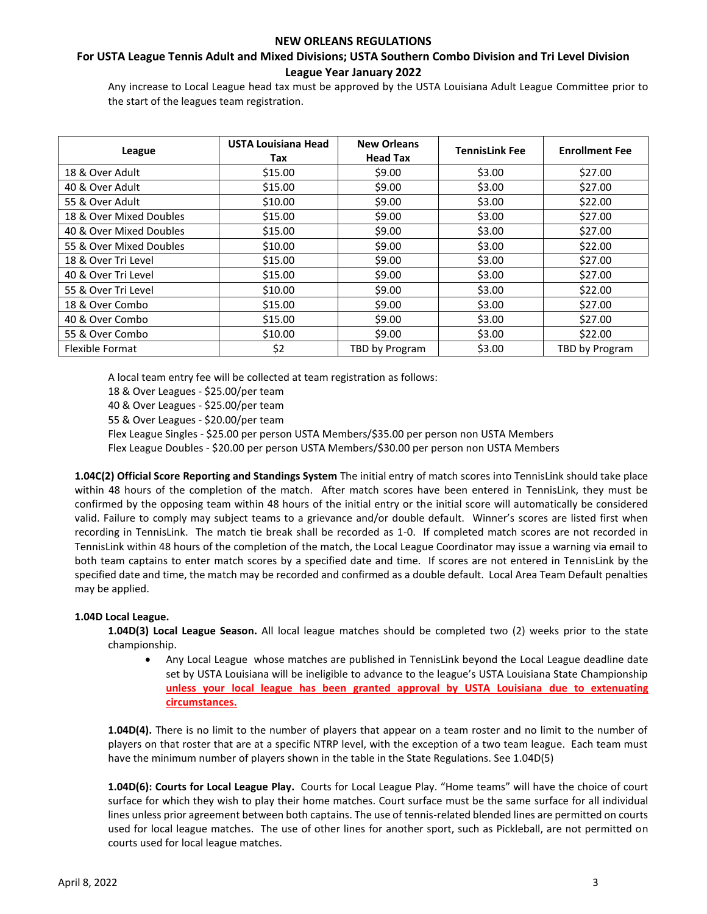# **For USTA League Tennis Adult and Mixed Divisions; USTA Southern Combo Division and Tri Level Division League Year January 2022**

Any increase to Local League head tax must be approved by the USTA Louisiana Adult League Committee prior to the start of the leagues team registration.

| League                  | <b>USTA Louisiana Head</b><br>Tax | <b>New Orleans</b><br><b>Head Tax</b> | <b>TennisLink Fee</b> | <b>Enrollment Fee</b> |
|-------------------------|-----------------------------------|---------------------------------------|-----------------------|-----------------------|
| 18 & Over Adult         | \$15.00                           | \$9.00                                | \$3.00                | \$27.00               |
| 40 & Over Adult         | \$15.00                           | \$9.00                                | \$3.00                | \$27.00               |
| 55 & Over Adult         | \$10.00                           | \$9.00                                | \$3.00                | \$22.00               |
| 18 & Over Mixed Doubles | \$15.00                           | \$9.00                                | \$3.00                | \$27.00               |
| 40 & Over Mixed Doubles | \$15.00                           | \$9.00                                | \$3.00                | \$27.00               |
| 55 & Over Mixed Doubles | \$10.00                           | \$9.00                                | \$3.00                | \$22.00               |
| 18 & Over Tri Level     | \$15.00                           | \$9.00                                | \$3.00                | \$27.00               |
| 40 & Over Tri Level     | \$15.00                           | \$9.00                                | \$3.00                | \$27.00               |
| 55 & Over Tri Level     | \$10.00                           | \$9.00                                | \$3.00                | \$22.00               |
| 18 & Over Combo         | \$15.00                           | \$9.00                                | \$3.00                | \$27.00               |
| 40 & Over Combo         | \$15.00                           | \$9.00                                | \$3.00                | \$27.00               |
| 55 & Over Combo         | \$10.00                           | \$9.00                                | \$3.00                | \$22.00               |
| Flexible Format         | \$2                               | TBD by Program                        | \$3.00                | TBD by Program        |

A local team entry fee will be collected at team registration as follows:

18 & Over Leagues - \$25.00/per team

40 & Over Leagues - \$25.00/per team

55 & Over Leagues - \$20.00/per team

Flex League Singles - \$25.00 per person USTA Members/\$35.00 per person non USTA Members

Flex League Doubles - \$20.00 per person USTA Members/\$30.00 per person non USTA Members

**1.04C(2) Official Score Reporting and Standings System** The initial entry of match scores into TennisLink should take place within 48 hours of the completion of the match. After match scores have been entered in TennisLink, they must be confirmed by the opposing team within 48 hours of the initial entry or the initial score will automatically be considered valid. Failure to comply may subject teams to a grievance and/or double default. Winner's scores are listed first when recording in TennisLink. The match tie break shall be recorded as 1-0. If completed match scores are not recorded in TennisLink within 48 hours of the completion of the match, the Local League Coordinator may issue a warning via email to both team captains to enter match scores by a specified date and time. If scores are not entered in TennisLink by the specified date and time, the match may be recorded and confirmed as a double default. Local Area Team Default penalties may be applied.

### **1.04D Local League.**

**1.04D(3) Local League Season.** All local league matches should be completed two (2) weeks prior to the state championship.

• Any Local League whose matches are published in TennisLink beyond the Local League deadline date set by USTA Louisiana will be ineligible to advance to the league's USTA Louisiana State Championship **unless your local league has been granted approval by USTA Louisiana due to extenuating circumstances.**

**1.04D(4).** There is no limit to the number of players that appear on a team roster and no limit to the number of players on that roster that are at a specific NTRP level, with the exception of a two team league. Each team must have the minimum number of players shown in the table in the State Regulations. See 1.04D(5)

**1.04D(6): Courts for Local League Play.** Courts for Local League Play. "Home teams" will have the choice of court surface for which they wish to play their home matches. Court surface must be the same surface for all individual lines unless prior agreement between both captains. The use of tennis-related blended lines are permitted on courts used for local league matches. The use of other lines for another sport, such as Pickleball, are not permitted on courts used for local league matches.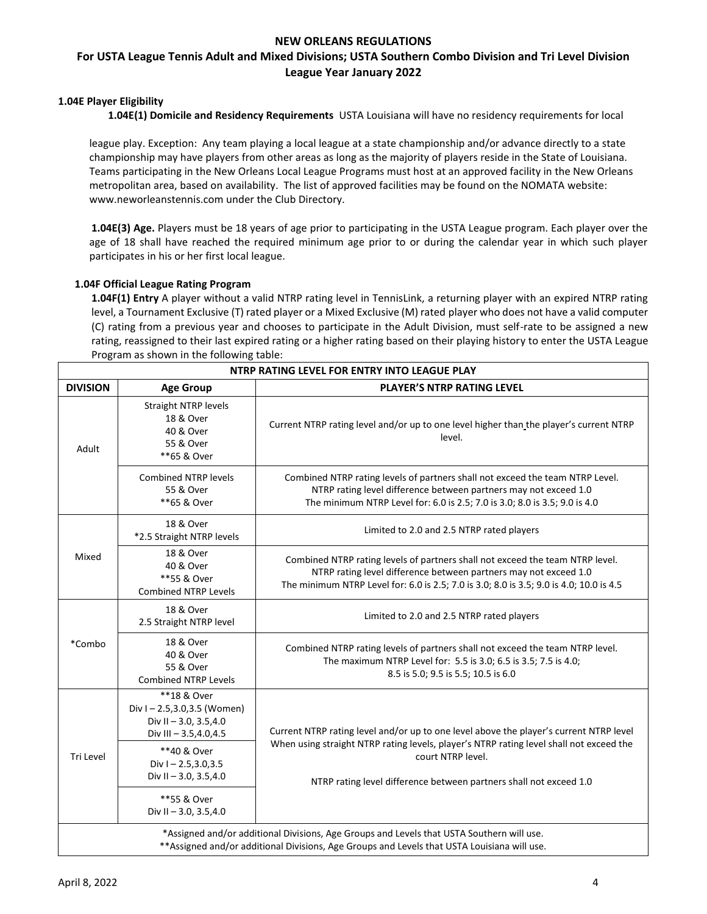# **For USTA League Tennis Adult and Mixed Divisions; USTA Southern Combo Division and Tri Level Division League Year January 2022**

# **1.04E Player Eligibility**

**1.04E(1) Domicile and Residency Requirements** USTA Louisiana will have no residency requirements for local

league play. Exception: Any team playing a local league at a state championship and/or advance directly to a state championship may have players from other areas as long as the majority of players reside in the State of Louisiana. Teams participating in the New Orleans Local League Programs must host at an approved facility in the New Orleans metropolitan area, based on availability. The list of approved facilities may be found on the NOMATA website: www.neworleanstennis.com under the Club Directory.

**1.04E(3) Age.** Players must be 18 years of age prior to participating in the USTA League program. Each player over the age of 18 shall have reached the required minimum age prior to or during the calendar year in which such player participates in his or her first local league.

### **1.04F Official League Rating Program**

**1.04F(1) Entry** A player without a valid NTRP rating level in TennisLink, a returning player with an expired NTRP rating level, a Tournament Exclusive (T) rated player or a Mixed Exclusive (M) rated player who does not have a valid computer (C) rating from a previous year and chooses to participate in the Adult Division, must self-rate to be assigned a new rating, reassigned to their last expired rating or a higher rating based on their playing history to enter the USTA League Program as shown in the following table:

| NTRP RATING LEVEL FOR ENTRY INTO LEAGUE PLAY |                                                                                               |                                                                                                                                                                                                                                              |  |  |
|----------------------------------------------|-----------------------------------------------------------------------------------------------|----------------------------------------------------------------------------------------------------------------------------------------------------------------------------------------------------------------------------------------------|--|--|
| <b>DIVISION</b>                              | <b>Age Group</b>                                                                              | <b>PLAYER'S NTRP RATING LEVEL</b>                                                                                                                                                                                                            |  |  |
| Adult                                        | <b>Straight NTRP levels</b><br>18 & Over<br>40 & Over<br>55 & Over<br>**65 & Over             | Current NTRP rating level and/or up to one level higher than the player's current NTRP<br>level.                                                                                                                                             |  |  |
|                                              | <b>Combined NTRP levels</b><br>55 & Over<br>**65 & Over                                       | Combined NTRP rating levels of partners shall not exceed the team NTRP Level.<br>NTRP rating level difference between partners may not exceed 1.0<br>The minimum NTRP Level for: 6.0 is 2.5; 7.0 is 3.0; 8.0 is 3.5; 9.0 is 4.0              |  |  |
|                                              | 18 & Over<br>*2.5 Straight NTRP levels                                                        | Limited to 2.0 and 2.5 NTRP rated players                                                                                                                                                                                                    |  |  |
| Mixed                                        | 18 & Over<br>40 & Over<br>**55 & Over<br><b>Combined NTRP Levels</b>                          | Combined NTRP rating levels of partners shall not exceed the team NTRP level.<br>NTRP rating level difference between partners may not exceed 1.0<br>The minimum NTRP Level for: 6.0 is 2.5; 7.0 is 3.0; 8.0 is 3.5; 9.0 is 4.0; 10.0 is 4.5 |  |  |
| *Combo                                       | 18 & Over<br>2.5 Straight NTRP level                                                          | Limited to 2.0 and 2.5 NTRP rated players                                                                                                                                                                                                    |  |  |
|                                              | 18 & Over<br>40 & Over<br>55 & Over<br><b>Combined NTRP Levels</b>                            | Combined NTRP rating levels of partners shall not exceed the team NTRP level.<br>The maximum NTRP Level for: 5.5 is 3.0; 6.5 is 3.5; 7.5 is 4.0;<br>8.5 is 5.0; 9.5 is 5.5; 10.5 is 6.0                                                      |  |  |
| Tri Level                                    | **18 & Over<br>Div I-2.5,3.0,3.5 (Women)<br>Div II - 3.0, 3.5,4.0<br>Div III $-3.5, 4.0, 4.5$ | Current NTRP rating level and/or up to one level above the player's current NTRP level                                                                                                                                                       |  |  |
|                                              | **40 & Over<br>Div $1 - 2.5, 3.0, 3.5$<br>Div II $-3.0$ , 3.5, 4.0                            | When using straight NTRP rating levels, player's NTRP rating level shall not exceed the<br>court NTRP level.<br>NTRP rating level difference between partners shall not exceed 1.0                                                           |  |  |
|                                              | **55 & Over<br>Div II $-3.0$ , 3.5, 4.0                                                       |                                                                                                                                                                                                                                              |  |  |
|                                              |                                                                                               | *Assigned and/or additional Divisions, Age Groups and Levels that USTA Southern will use.                                                                                                                                                    |  |  |

\*\*Assigned and/or additional Divisions, Age Groups and Levels that USTA Louisiana will use.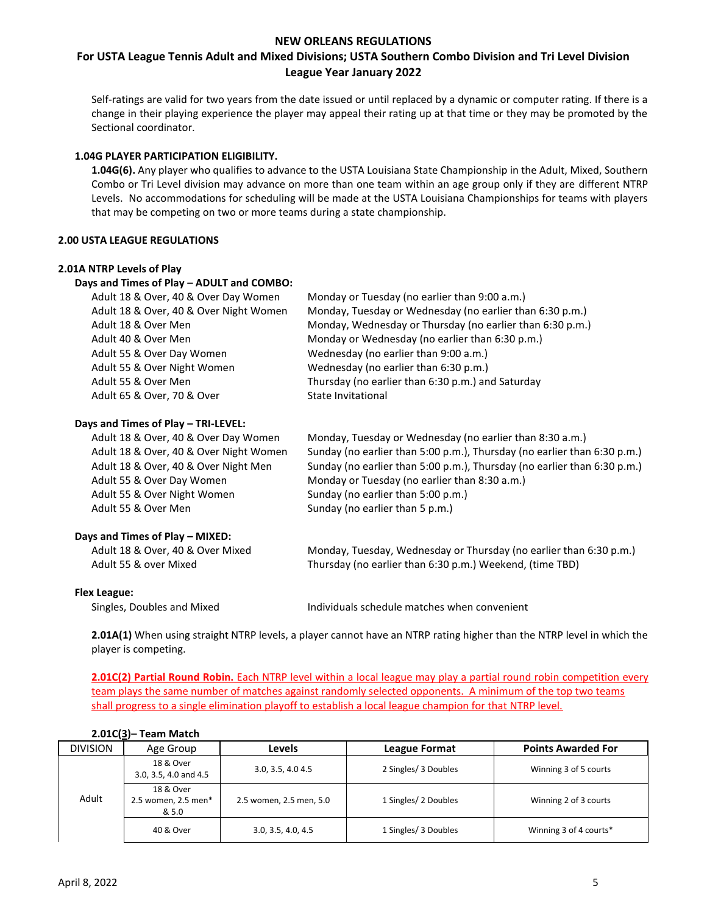# **For USTA League Tennis Adult and Mixed Divisions; USTA Southern Combo Division and Tri Level Division League Year January 2022**

Self-ratings are valid for two years from the date issued or until replaced by a dynamic or computer rating. If there is a change in their playing experience the player may appeal their rating up at that time or they may be promoted by the Sectional coordinator.

### **1.04G PLAYER PARTICIPATION ELIGIBILITY.**

**1.04G(6).** Any player who qualifies to advance to the USTA Louisiana State Championship in the Adult, Mixed, Southern Combo or Tri Level division may advance on more than one team within an age group only if they are different NTRP Levels. No accommodations for scheduling will be made at the USTA Louisiana Championships for teams with players that may be competing on two or more teams during a state championship.

#### **2.00 USTA LEAGUE REGULATIONS**

#### **2.01A NTRP Levels of Play**

| Days and Times of Play - ADULT and COMBO: |                                                           |
|-------------------------------------------|-----------------------------------------------------------|
| Adult 18 & Over, 40 & Over Day Women      | Monday or Tuesday (no earlier than 9:00 a.m.)             |
| Adult 18 & Over, 40 & Over Night Women    | Monday, Tuesday or Wednesday (no earlier than 6:30 p.m.)  |
| Adult 18 & Over Men                       | Monday, Wednesday or Thursday (no earlier than 6:30 p.m.) |
| Adult 40 & Over Men                       | Monday or Wednesday (no earlier than 6:30 p.m.)           |
| Adult 55 & Over Day Women                 | Wednesday (no earlier than 9:00 a.m.)                     |
| Adult 55 & Over Night Women               | Wednesday (no earlier than 6:30 p.m.)                     |
| Adult 55 & Over Men                       | Thursday (no earlier than 6:30 p.m.) and Saturday         |
| Adult 65 & Over, 70 & Over                | State Invitational                                        |

#### **Days and Times of Play – TRI-LEVEL:**

| Adult 18 & Over, 40 & Over Day Women   | Monday, Tuesday or Wednesday (no earlier than 8:30 a.m.)                 |
|----------------------------------------|--------------------------------------------------------------------------|
| Adult 18 & Over, 40 & Over Night Women | Sunday (no earlier than 5:00 p.m.), Thursday (no earlier than 6:30 p.m.) |
| Adult 18 & Over, 40 & Over Night Men   | Sunday (no earlier than 5:00 p.m.), Thursday (no earlier than 6:30 p.m.) |
| Adult 55 & Over Day Women              | Monday or Tuesday (no earlier than 8:30 a.m.)                            |
| Adult 55 & Over Night Women            | Sunday (no earlier than 5:00 p.m.)                                       |
| Adult 55 & Over Men                    | Sunday (no earlier than 5 p.m.)                                          |
|                                        |                                                                          |

### **Days and Times of Play – MIXED:**

Adult 18 & Over, 40 & Over Mixed Monday, Tuesday, Wednesday or Thursday (no earlier than 6:30 p.m.) Adult 55 & over Mixed Thursday (no earlier than 6:30 p.m.) Weekend, (time TBD)

#### **Flex League:**

Singles, Doubles and Mixed Individuals schedule matches when convenient

**2.01A(1)** When using straight NTRP levels, a player cannot have an NTRP rating higher than the NTRP level in which the player is competing.

**2.01C(2) Partial Round Robin.** Each NTRP level within a local league may play a partial round robin competition every team plays the same number of matches against randomly selected opponents. A minimum of the top two teams shall progress to a single elimination playoff to establish a local league champion for that NTRP level.

| <b>DIVISION</b> | Age Group                                 | Levels                  | <b>League Format</b> | <b>Points Awarded For</b> |
|-----------------|-------------------------------------------|-------------------------|----------------------|---------------------------|
| Adult           | 18 & Over<br>3.0, 3.5, 4.0 and 4.5        | 3.0, 3.5, 4.0 4.5       | 2 Singles/ 3 Doubles | Winning 3 of 5 courts     |
|                 | 18 & Over<br>2.5 women, 2.5 men*<br>& 5.0 | 2.5 women, 2.5 men, 5.0 | 1 Singles/ 2 Doubles | Winning 2 of 3 courts     |
|                 | 40 & Over                                 | 3.0, 3.5, 4.0, 4.5      | 1 Singles/ 3 Doubles | Winning 3 of 4 courts*    |

### **2.01C(3)– Team Match**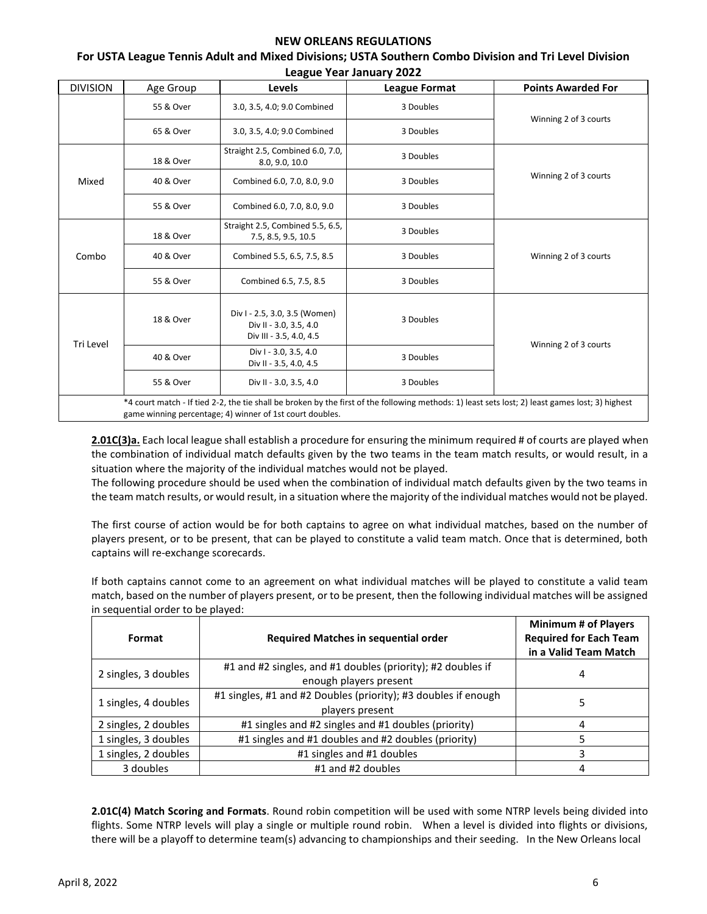| <b>DIVISION</b> | Age Group | Levels                                                                             | <b>League Format</b> | <b>Points Awarded For</b> |
|-----------------|-----------|------------------------------------------------------------------------------------|----------------------|---------------------------|
|                 | 55 & Over | 3.0, 3.5, 4.0; 9.0 Combined                                                        | 3 Doubles            | Winning 2 of 3 courts     |
|                 | 65 & Over | 3.0, 3.5, 4.0; 9.0 Combined                                                        | 3 Doubles            |                           |
|                 | 18 & Over | Straight 2.5, Combined 6.0, 7.0,<br>8.0, 9.0, 10.0                                 | 3 Doubles            |                           |
| Mixed           | 40 & Over | Combined 6.0, 7.0, 8.0, 9.0                                                        | 3 Doubles            | Winning 2 of 3 courts     |
|                 | 55 & Over | Combined 6.0, 7.0, 8.0, 9.0                                                        | 3 Doubles            |                           |
|                 | 18 & Over | Straight 2.5, Combined 5.5, 6.5,<br>7.5, 8.5, 9.5, 10.5                            | 3 Doubles            |                           |
| Combo           | 40 & Over | Combined 5.5, 6.5, 7.5, 8.5                                                        | 3 Doubles            | Winning 2 of 3 courts     |
|                 | 55 & Over | Combined 6.5, 7.5, 8.5                                                             | 3 Doubles            |                           |
| Tri Level       | 18 & Over | Div I - 2.5, 3.0, 3.5 (Women)<br>Div II - 3.0, 3.5, 4.0<br>Div III - 3.5, 4.0, 4.5 | 3 Doubles            |                           |
|                 | 40 & Over | Div I - 3.0, 3.5, 4.0<br>Div II - 3.5, 4.0, 4.5                                    | 3 Doubles            | Winning 2 of 3 courts     |
|                 | 55 & Over | Div II - 3.0, 3.5, 4.0                                                             | 3 Doubles            |                           |

#### **For USTA League Tennis Adult and Mixed Divisions; USTA Southern Combo Division and Tri Level Division League Year January 2022**

**2.01C(3)a.** Each local league shall establish a procedure for ensuring the minimum required # of courts are played when the combination of individual match defaults given by the two teams in the team match results, or would result, in a situation where the majority of the individual matches would not be played.

The following procedure should be used when the combination of individual match defaults given by the two teams in the team match results, or would result, in a situation where the majority of the individual matches would not be played.

The first course of action would be for both captains to agree on what individual matches, based on the number of players present, or to be present, that can be played to constitute a valid team match. Once that is determined, both captains will re-exchange scorecards.

If both captains cannot come to an agreement on what individual matches will be played to constitute a valid team match, based on the number of players present, or to be present, then the following individual matches will be assigned in sequential order to be played:

| Format               | <b>Required Matches in sequential order</b>                                           | <b>Minimum # of Players</b><br><b>Required for Each Team</b><br>in a Valid Team Match |
|----------------------|---------------------------------------------------------------------------------------|---------------------------------------------------------------------------------------|
| 2 singles, 3 doubles | #1 and #2 singles, and #1 doubles (priority); #2 doubles if<br>enough players present | 4                                                                                     |
| 1 singles, 4 doubles | #1 singles, #1 and #2 Doubles (priority); #3 doubles if enough<br>players present     |                                                                                       |
| 2 singles, 2 doubles | #1 singles and #2 singles and #1 doubles (priority)                                   |                                                                                       |
| 1 singles, 3 doubles | #1 singles and #1 doubles and #2 doubles (priority)                                   |                                                                                       |
| 1 singles, 2 doubles | #1 singles and #1 doubles                                                             |                                                                                       |
| 3 doubles            | #1 and #2 doubles                                                                     |                                                                                       |

**2.01C(4) Match Scoring and Formats**. Round robin competition will be used with some NTRP levels being divided into flights. Some NTRP levels will play a single or multiple round robin. When a level is divided into flights or divisions, there will be a playoff to determine team(s) advancing to championships and their seeding. In the New Orleans local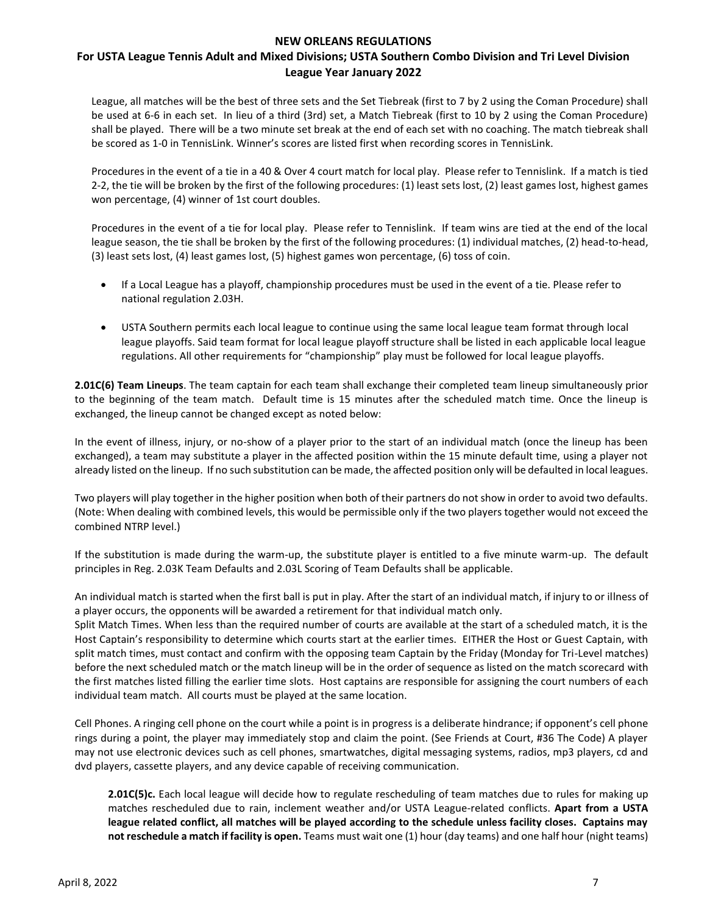# **For USTA League Tennis Adult and Mixed Divisions; USTA Southern Combo Division and Tri Level Division League Year January 2022**

League, all matches will be the best of three sets and the Set Tiebreak (first to 7 by 2 using the Coman Procedure) shall be used at 6-6 in each set. In lieu of a third (3rd) set, a Match Tiebreak (first to 10 by 2 using the Coman Procedure) shall be played. There will be a two minute set break at the end of each set with no coaching. The match tiebreak shall be scored as 1-0 in TennisLink. Winner's scores are listed first when recording scores in TennisLink.

Procedures in the event of a tie in a 40 & Over 4 court match for local play. Please refer to Tennislink. If a match is tied 2-2, the tie will be broken by the first of the following procedures: (1) least sets lost, (2) least games lost, highest games won percentage, (4) winner of 1st court doubles.

Procedures in the event of a tie for local play. Please refer to Tennislink. If team wins are tied at the end of the local league season, the tie shall be broken by the first of the following procedures: (1) individual matches, (2) head-to-head, (3) least sets lost, (4) least games lost, (5) highest games won percentage, (6) toss of coin.

- If a Local League has a playoff, championship procedures must be used in the event of a tie. Please refer to national regulation 2.03H.
- USTA Southern permits each local league to continue using the same local league team format through local league playoffs. Said team format for local league playoff structure shall be listed in each applicable local league regulations. All other requirements for "championship" play must be followed for local league playoffs.

**2.01C(6) Team Lineups**. The team captain for each team shall exchange their completed team lineup simultaneously prior to the beginning of the team match. Default time is 15 minutes after the scheduled match time. Once the lineup is exchanged, the lineup cannot be changed except as noted below:

In the event of illness, injury, or no-show of a player prior to the start of an individual match (once the lineup has been exchanged), a team may substitute a player in the affected position within the 15 minute default time, using a player not already listed on the lineup. If no such substitution can be made, the affected position only will be defaulted in local leagues.

Two players will play together in the higher position when both of their partners do not show in order to avoid two defaults. (Note: When dealing with combined levels, this would be permissible only if the two players together would not exceed the combined NTRP level.)

If the substitution is made during the warm-up, the substitute player is entitled to a five minute warm-up. The default principles in Reg. 2.03K Team Defaults and 2.03L Scoring of Team Defaults shall be applicable.

An individual match is started when the first ball is put in play. After the start of an individual match, if injury to or illness of a player occurs, the opponents will be awarded a retirement for that individual match only.

Split Match Times. When less than the required number of courts are available at the start of a scheduled match, it is the Host Captain's responsibility to determine which courts start at the earlier times. EITHER the Host or Guest Captain, with split match times, must contact and confirm with the opposing team Captain by the Friday (Monday for Tri-Level matches) before the next scheduled match or the match lineup will be in the order of sequence as listed on the match scorecard with the first matches listed filling the earlier time slots. Host captains are responsible for assigning the court numbers of each individual team match. All courts must be played at the same location.

Cell Phones. A ringing cell phone on the court while a point is in progress is a deliberate hindrance; if opponent's cell phone rings during a point, the player may immediately stop and claim the point. (See Friends at Court, #36 The Code) A player may not use electronic devices such as cell phones, smartwatches, digital messaging systems, radios, mp3 players, cd and dvd players, cassette players, and any device capable of receiving communication.

**2.01C(5)c.** Each local league will decide how to regulate rescheduling of team matches due to rules for making up matches rescheduled due to rain, inclement weather and/or USTA League-related conflicts. **Apart from a USTA league related conflict, all matches will be played according to the schedule unless facility closes. Captains may not reschedule a match if facility is open.** Teams must wait one (1) hour (day teams) and one half hour (night teams)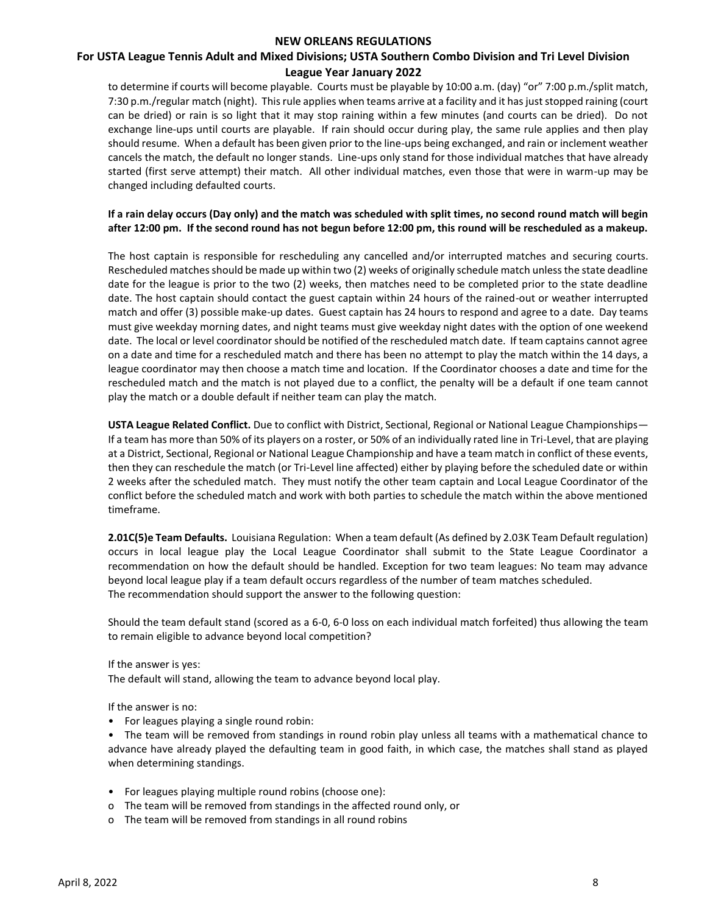# **For USTA League Tennis Adult and Mixed Divisions; USTA Southern Combo Division and Tri Level Division League Year January 2022**

to determine if courts will become playable. Courts must be playable by 10:00 a.m. (day) "or" 7:00 p.m./split match, 7:30 p.m./regular match (night). This rule applies when teams arrive at a facility and it has just stopped raining (court can be dried) or rain is so light that it may stop raining within a few minutes (and courts can be dried). Do not exchange line-ups until courts are playable. If rain should occur during play, the same rule applies and then play should resume. When a default has been given prior to the line-ups being exchanged, and rain or inclement weather cancels the match, the default no longer stands. Line-ups only stand for those individual matches that have already started (first serve attempt) their match. All other individual matches, even those that were in warm-up may be changed including defaulted courts.

# **If a rain delay occurs (Day only) and the match was scheduled with split times, no second round match will begin after 12:00 pm. If the second round has not begun before 12:00 pm, this round will be rescheduled as a makeup.**

The host captain is responsible for rescheduling any cancelled and/or interrupted matches and securing courts. Rescheduled matches should be made up within two (2) weeks of originally schedule match unless the state deadline date for the league is prior to the two (2) weeks, then matches need to be completed prior to the state deadline date. The host captain should contact the guest captain within 24 hours of the rained-out or weather interrupted match and offer (3) possible make-up dates. Guest captain has 24 hours to respond and agree to a date. Day teams must give weekday morning dates, and night teams must give weekday night dates with the option of one weekend date. The local or level coordinator should be notified of the rescheduled match date. If team captains cannot agree on a date and time for a rescheduled match and there has been no attempt to play the match within the 14 days, a league coordinator may then choose a match time and location. If the Coordinator chooses a date and time for the rescheduled match and the match is not played due to a conflict, the penalty will be a default if one team cannot play the match or a double default if neither team can play the match.

**USTA League Related Conflict.** Due to conflict with District, Sectional, Regional or National League Championships— If a team has more than 50% of its players on a roster, or 50% of an individually rated line in Tri-Level, that are playing at a District, Sectional, Regional or National League Championship and have a team match in conflict of these events, then they can reschedule the match (or Tri-Level line affected) either by playing before the scheduled date or within 2 weeks after the scheduled match. They must notify the other team captain and Local League Coordinator of the conflict before the scheduled match and work with both parties to schedule the match within the above mentioned timeframe.

**2.01C(5)e Team Defaults.** Louisiana Regulation: When a team default (As defined by 2.03K Team Default regulation) occurs in local league play the Local League Coordinator shall submit to the State League Coordinator a recommendation on how the default should be handled. Exception for two team leagues: No team may advance beyond local league play if a team default occurs regardless of the number of team matches scheduled. The recommendation should support the answer to the following question:

Should the team default stand (scored as a 6-0, 6-0 loss on each individual match forfeited) thus allowing the team to remain eligible to advance beyond local competition?

If the answer is yes:

The default will stand, allowing the team to advance beyond local play.

If the answer is no:

• For leagues playing a single round robin:

• The team will be removed from standings in round robin play unless all teams with a mathematical chance to advance have already played the defaulting team in good faith, in which case, the matches shall stand as played when determining standings.

- For leagues playing multiple round robins (choose one):
- o The team will be removed from standings in the affected round only, or
- o The team will be removed from standings in all round robins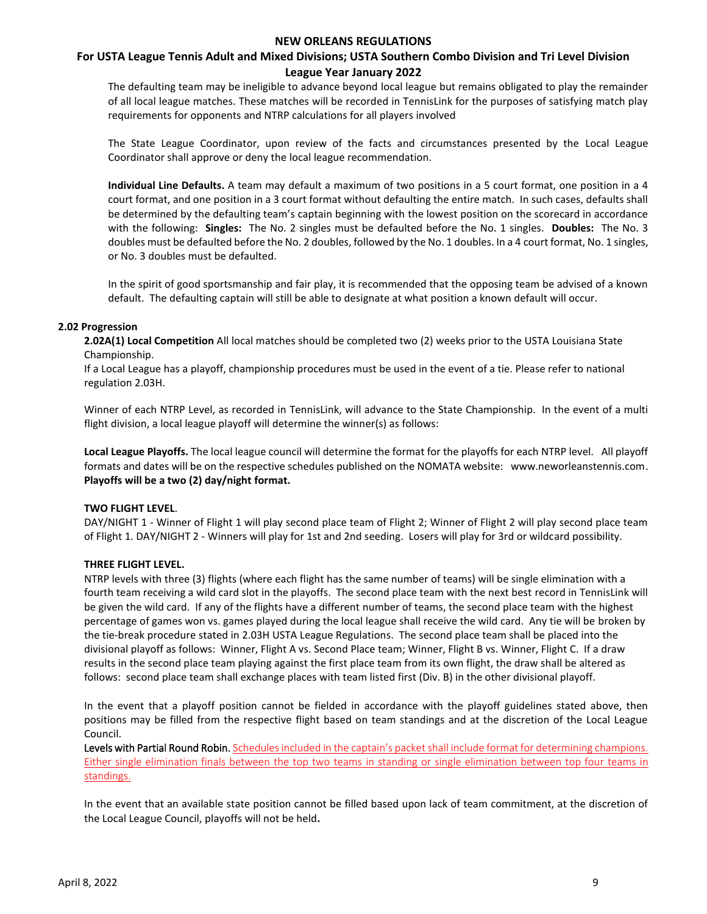# **For USTA League Tennis Adult and Mixed Divisions; USTA Southern Combo Division and Tri Level Division League Year January 2022**

The defaulting team may be ineligible to advance beyond local league but remains obligated to play the remainder of all local league matches. These matches will be recorded in TennisLink for the purposes of satisfying match play requirements for opponents and NTRP calculations for all players involved

The State League Coordinator, upon review of the facts and circumstances presented by the Local League Coordinator shall approve or deny the local league recommendation.

**Individual Line Defaults.** A team may default a maximum of two positions in a 5 court format, one position in a 4 court format, and one position in a 3 court format without defaulting the entire match. In such cases, defaults shall be determined by the defaulting team's captain beginning with the lowest position on the scorecard in accordance with the following: **Singles:** The No. 2 singles must be defaulted before the No. 1 singles. **Doubles:** The No. 3 doubles must be defaulted before the No. 2 doubles, followed by the No. 1 doubles. In a 4 court format, No. 1 singles, or No. 3 doubles must be defaulted.

In the spirit of good sportsmanship and fair play, it is recommended that the opposing team be advised of a known default. The defaulting captain will still be able to designate at what position a known default will occur.

#### **2.02 Progression**

**2.02A(1) Local Competition** All local matches should be completed two (2) weeks prior to the USTA Louisiana State Championship.

If a Local League has a playoff, championship procedures must be used in the event of a tie. Please refer to national regulation 2.03H.

Winner of each NTRP Level, as recorded in TennisLink, will advance to the State Championship. In the event of a multi flight division, a local league playoff will determine the winner(s) as follows:

**Local League Playoffs.** The local league council will determine the format for the playoffs for each NTRP level. All playoff formats and dates will be on the respective schedules published on the NOMATA website: www.neworleanstennis.com. **Playoffs will be a two (2) day/night format.** 

#### **TWO FLIGHT LEVEL**.

DAY/NIGHT 1 - Winner of Flight 1 will play second place team of Flight 2; Winner of Flight 2 will play second place team of Flight 1. DAY/NIGHT 2 - Winners will play for 1st and 2nd seeding. Losers will play for 3rd or wildcard possibility.

### **THREE FLIGHT LEVEL.**

NTRP levels with three (3) flights (where each flight has the same number of teams) will be single elimination with a fourth team receiving a wild card slot in the playoffs. The second place team with the next best record in TennisLink will be given the wild card. If any of the flights have a different number of teams, the second place team with the highest percentage of games won vs. games played during the local league shall receive the wild card. Any tie will be broken by the tie-break procedure stated in 2.03H USTA League Regulations. The second place team shall be placed into the divisional playoff as follows: Winner, Flight A vs. Second Place team; Winner, Flight B vs. Winner, Flight C. If a draw results in the second place team playing against the first place team from its own flight, the draw shall be altered as follows: second place team shall exchange places with team listed first (Div. B) in the other divisional playoff.

In the event that a playoff position cannot be fielded in accordance with the playoff guidelines stated above, then positions may be filled from the respective flight based on team standings and at the discretion of the Local League Council.

Levels with Partial Round Robin. Schedules included in the captain's packet shall include format for determining champions. Either single elimination finals between the top two teams in standing or single elimination between top four teams in standings.

In the event that an available state position cannot be filled based upon lack of team commitment, at the discretion of the Local League Council, playoffs will not be held**.**